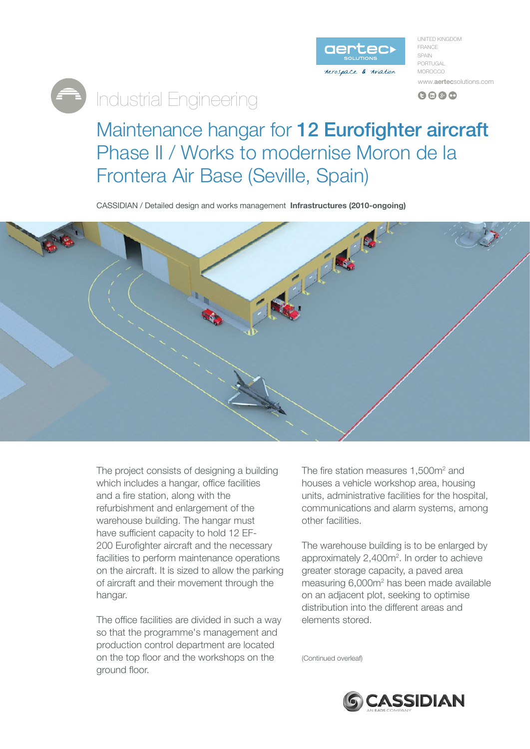

UNITED KINGDOM FRANCE SPAIN PORTUGAL **MOROCCO** www.aertecsolutions.com

 $0 0 0 0$ 

## Maintenance hangar for 12 Eurofighter aircraft Phase II / Works to modernise Moron de la Frontera Air Base (Seville, Spain)

**CASSIDIAN** / Detailed design and works management **Infrastructures (2010-ongoing)** 

**Engineering** 



The project consists of designing a building which includes a hangar, office facilities and a fire station, along with the refurbishment and enlargement of the warehouse building. The hangar must have sufficient capacity to hold 12 EF-<br>200 Eurofighter aircraft and the necessary facilities to perform maintenance operations on the aircraft. It is sized to allow the parking of aircraft and their movement through the hangar.

The office facilities are divided in such a way so that the programme's management and production control department are located on the top floor and the workshops on the ground floor.

The fire station measures  $1,500$ m<sup>2</sup> and houses a vehicle workshop area, housing units, administrative facilities for the hospital, communications and alarm systems, among other facilities.

The warehouse building is to be enlarged by approximately  $2,400 m<sup>2</sup>$ . In order to achieve area er storage capacity, a paved area measuring 6,000m<sup>2</sup> has been made available on an adjacent plot, seeking to optimise distribution into the different areas and elements stored

(Continued overleaf)